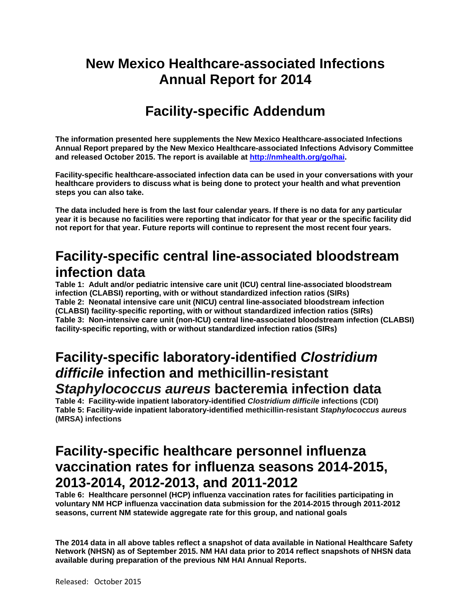# **New Mexico Healthcare-associated Infections Annual Report for 2014**

# **Facility-specific Addendum**

**The information presented here supplements the New Mexico Healthcare-associated Infections Annual Report prepared by the New Mexico Healthcare-associated Infections Advisory Committee and released October 2015. The report is available at http://nmhealth.org/go/hai.** 

**Facility-specific healthcare-associated infection data can be used in your conversations with your healthcare providers to discuss what is being done to protect your health and what prevention steps you can also take.** 

**The data included here is from the last four calendar years. If there is no data for any particular year it is because no facilities were reporting that indicator for that year or the specific facility did not report for that year. Future reports will continue to represent the most recent four years.** 

## **Facility-specific central line-associated bloodstream infection data**

**Table 1: Adult and/or pediatric intensive care unit (ICU) central line-associated bloodstream infection (CLABSI) reporting, with or without standardized infection ratios (SIRs) Table 2: Neonatal intensive care unit (NICU) central line-associated bloodstream infection (CLABSI) facility-specific reporting, with or without standardized infection ratios (SIRs) Table 3: Non-intensive care unit (non-ICU) central line-associated bloodstream infection (CLABSI) facility-specific reporting, with or without standardized infection ratios (SIRs)** 

### **Facility-specific laboratory-identified** *Clostridium difficile* **infection and methicillin-resistant**  *Staphylococcus aureus* **bacteremia infection data**

**Table 4: Facility-wide inpatient laboratory-identified** *Clostridium difficile* **infections (CDI) Table 5: Facility-wide inpatient laboratory-identified methicillin-resistant** *Staphylococcus aureus*  **(MRSA) infections**

## **Facility-specific healthcare personnel influenza vaccination rates for influenza seasons 2014-2015, 2013-2014, 2012-2013, and 2011-2012**

**Table 6: Healthcare personnel (HCP) influenza vaccination rates for facilities participating in voluntary NM HCP influenza vaccination data submission for the 2014-2015 through 2011-2012 seasons, current NM statewide aggregate rate for this group, and national goals** 

**The 2014 data in all above tables reflect a snapshot of data available in National Healthcare Safety Network (NHSN) as of September 2015. NM HAI data prior to 2014 reflect snapshots of NHSN data available during preparation of the previous NM HAI Annual Reports.**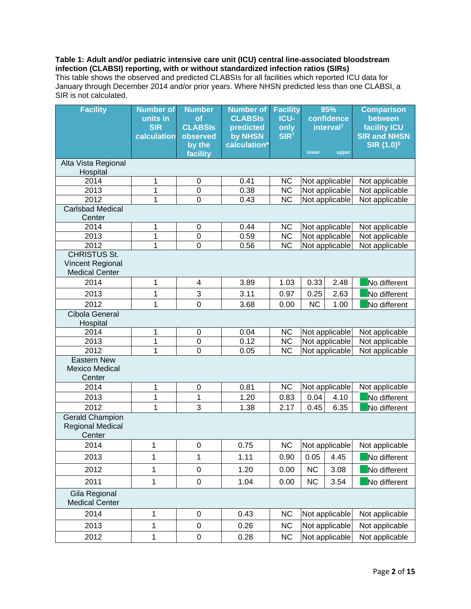#### **Table 1: Adult and/or pediatric intensive care unit (ICU) central line-associated bloodstream infection (CLABSI) reporting, with or without standardized infection ratios (SIRs)**  This table shows the observed and predicted CLABSIs for all facilities which reported ICU data for

January through December 2014 and/or prior years. Where NHSN predicted less than one CLABSI, a SIR is not calculated.

| <b>Facility</b>                                                  | <b>Number of</b><br>units in<br><b>SIR</b><br>calculation | <b>Number</b><br>of<br><b>CLABSIS</b><br>observed<br>by the<br>facility | <b>Number of</b><br><b>CLABSIS</b><br>predicted<br>by NHSN<br>calculation* | <b>Facility</b><br><b>ICU-</b><br>only<br>SIR <sup>t</sup> | 95%<br>confidence<br>interval <sup>#</sup><br>lower<br>upper |                | <b>Comparison</b><br>between<br><b>facility ICU</b><br><b>SIR and NHSN</b><br><b>SIR (1.0)</b> § |
|------------------------------------------------------------------|-----------------------------------------------------------|-------------------------------------------------------------------------|----------------------------------------------------------------------------|------------------------------------------------------------|--------------------------------------------------------------|----------------|--------------------------------------------------------------------------------------------------|
| Alta Vista Regional                                              |                                                           |                                                                         |                                                                            |                                                            |                                                              |                |                                                                                                  |
| Hospital                                                         |                                                           |                                                                         |                                                                            |                                                            |                                                              |                |                                                                                                  |
| 2014                                                             | 1                                                         | $\mathbf 0$                                                             | 0.41                                                                       | <b>NC</b>                                                  |                                                              | Not applicable | Not applicable                                                                                   |
| 2013                                                             | 1                                                         | $\mathbf 0$                                                             | 0.38                                                                       | NC                                                         |                                                              | Not applicable | Not applicable                                                                                   |
| 2012<br><b>Carlsbad Medical</b>                                  | 1                                                         | $\mathbf 0$                                                             | 0.43                                                                       | <b>NC</b>                                                  |                                                              | Not applicable | Not applicable                                                                                   |
| Center                                                           |                                                           |                                                                         |                                                                            |                                                            |                                                              |                |                                                                                                  |
| 2014                                                             | 1                                                         | $\mathbf 0$                                                             | 0.44                                                                       | <b>NC</b>                                                  |                                                              | Not applicable | Not applicable                                                                                   |
| 2013                                                             | 1                                                         | $\boldsymbol{0}$                                                        | 0.59                                                                       | NC                                                         |                                                              | Not applicable | Not applicable                                                                                   |
| 2012                                                             | 1                                                         | $\mathbf 0$                                                             | 0.56                                                                       | <b>NC</b>                                                  |                                                              | Not applicable | Not applicable                                                                                   |
| <b>CHRISTUS St.</b><br>Vincent Regional<br><b>Medical Center</b> |                                                           |                                                                         |                                                                            |                                                            |                                                              |                |                                                                                                  |
| 2014                                                             | 1                                                         | 4                                                                       | 3.89                                                                       | 1.03                                                       | 0.33                                                         | 2.48           | No different                                                                                     |
| 2013                                                             | 1                                                         | $\ensuremath{\mathsf{3}}$                                               | 3.11                                                                       | 0.97                                                       | 0.25                                                         | 2.63           | No different                                                                                     |
| 2012                                                             | 1                                                         | $\mathbf 0$                                                             | 3.68                                                                       | 0.00                                                       | <b>NC</b>                                                    | 1.00           | No different                                                                                     |
| Cibola General<br>Hospital                                       |                                                           |                                                                         |                                                                            |                                                            |                                                              |                |                                                                                                  |
| 2014                                                             | 1                                                         | $\boldsymbol{0}$                                                        | 0.04                                                                       | NC                                                         |                                                              | Not applicable | Not applicable                                                                                   |
| 2013                                                             | 1                                                         | $\mathbf 0$                                                             | 0.12                                                                       | $\overline{\text{NC}}$                                     |                                                              | Not applicable | Not applicable                                                                                   |
| 2012                                                             | 1                                                         | $\overline{0}$                                                          | 0.05                                                                       | <b>NC</b>                                                  |                                                              | Not applicable | Not applicable                                                                                   |
| <b>Eastern New</b><br><b>Mexico Medical</b><br>Center            |                                                           |                                                                         |                                                                            |                                                            |                                                              |                |                                                                                                  |
| 2014                                                             | 1                                                         | $\mathbf 0$                                                             | 0.81                                                                       | <b>NC</b>                                                  |                                                              | Not applicable | Not applicable                                                                                   |
| 2013                                                             | 1                                                         | 1                                                                       | 1.20                                                                       | 0.83                                                       | 0.04                                                         | 4.10           | No different                                                                                     |
| 2012                                                             | 1                                                         | 3                                                                       | 1.38                                                                       | 2.17                                                       | 0.45                                                         | 6.35           | No different                                                                                     |
| <b>Gerald Champion</b><br><b>Regional Medical</b><br>Center      |                                                           |                                                                         |                                                                            |                                                            |                                                              |                |                                                                                                  |
| 2014                                                             | 1                                                         | $\mathbf 0$                                                             | 0.75                                                                       | <b>NC</b>                                                  |                                                              | Not applicable | Not applicable                                                                                   |
| 2013                                                             | 1                                                         | 1                                                                       | 1.11                                                                       | 0.90                                                       | 0.05                                                         | 4.45           | No different                                                                                     |
| 2012                                                             | 1                                                         | $\boldsymbol{0}$                                                        | 1.20                                                                       | 0.00                                                       | NC                                                           | 3.08           | No different                                                                                     |
| 2011                                                             | 1                                                         | $\pmb{0}$                                                               | 1.04                                                                       | 0.00                                                       | <b>NC</b>                                                    | 3.54           | No different                                                                                     |
| Gila Regional<br><b>Medical Center</b>                           |                                                           |                                                                         |                                                                            |                                                            |                                                              |                |                                                                                                  |
| 2014                                                             | 1                                                         | $\boldsymbol{0}$                                                        | 0.43                                                                       | <b>NC</b>                                                  |                                                              | Not applicable | Not applicable                                                                                   |
| 2013                                                             | 1                                                         | $\boldsymbol{0}$                                                        | 0.26                                                                       | <b>NC</b>                                                  |                                                              | Not applicable | Not applicable                                                                                   |
| 2012                                                             | 1                                                         | $\pmb{0}$                                                               | 0.28                                                                       | <b>NC</b>                                                  |                                                              | Not applicable | Not applicable                                                                                   |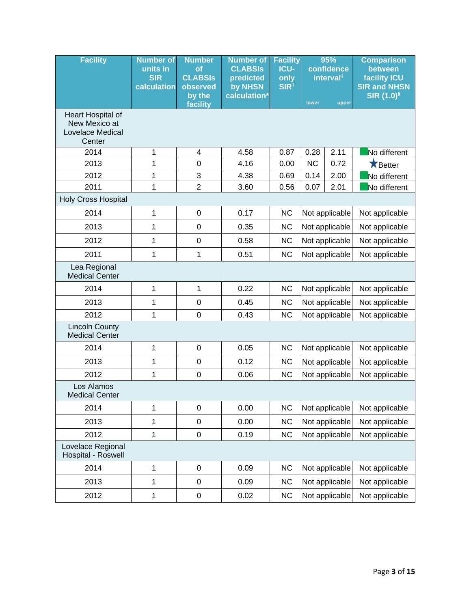| <b>Facility</b>                                                  | <b>Number of</b><br>units in<br><b>SIR</b><br>calculation | <b>Number</b><br><b>of</b><br><b>CLABSIS</b><br>observed<br>by the | <b>Number of</b><br><b>CLABSIS</b><br>predicted<br>by NHSN<br>calculation* | <b>Facility</b><br><b>ICU-</b><br>only<br>SIR <sup>t</sup> | 95%<br>confidence<br>interval <sup>#</sup> |                | <b>Comparison</b><br>between<br><b>facility ICU</b><br><b>SIR and NHSN</b><br><b>SIR (1.0)</b> § |
|------------------------------------------------------------------|-----------------------------------------------------------|--------------------------------------------------------------------|----------------------------------------------------------------------------|------------------------------------------------------------|--------------------------------------------|----------------|--------------------------------------------------------------------------------------------------|
|                                                                  |                                                           | facility                                                           |                                                                            |                                                            | lower                                      | upper          |                                                                                                  |
| Heart Hospital of<br>New Mexico at<br>Lovelace Medical<br>Center |                                                           |                                                                    |                                                                            |                                                            |                                            |                |                                                                                                  |
| 2014                                                             | 1                                                         | 4                                                                  | 4.58                                                                       | 0.87                                                       | 0.28                                       | 2.11           | No different                                                                                     |
| 2013                                                             | 1                                                         | $\boldsymbol{0}$                                                   | 4.16                                                                       | 0.00                                                       | <b>NC</b>                                  | 0.72           | <b>X</b> Better                                                                                  |
| 2012                                                             | 1                                                         | $\ensuremath{\mathsf{3}}$                                          | 4.38                                                                       | 0.69                                                       | 0.14                                       | 2.00           | No different                                                                                     |
| 2011                                                             | 1                                                         | $\overline{2}$                                                     | 3.60                                                                       | 0.56                                                       | 0.07                                       | 2.01           | No different                                                                                     |
| <b>Holy Cross Hospital</b>                                       |                                                           |                                                                    |                                                                            |                                                            |                                            |                |                                                                                                  |
| 2014                                                             | 1                                                         | $\boldsymbol{0}$                                                   | 0.17                                                                       | <b>NC</b>                                                  |                                            | Not applicable | Not applicable                                                                                   |
| 2013                                                             | 1                                                         | $\mathbf 0$                                                        | 0.35                                                                       | <b>NC</b>                                                  |                                            | Not applicable | Not applicable                                                                                   |
| 2012                                                             | 1                                                         | $\mathbf 0$                                                        | 0.58                                                                       | <b>NC</b>                                                  |                                            | Not applicable | Not applicable                                                                                   |
| 2011                                                             | 1                                                         | 1                                                                  | 0.51                                                                       | <b>NC</b>                                                  |                                            | Not applicable | Not applicable                                                                                   |
| Lea Regional<br><b>Medical Center</b>                            |                                                           |                                                                    |                                                                            |                                                            |                                            |                |                                                                                                  |
| 2014                                                             | 1                                                         | 1                                                                  | 0.22                                                                       | <b>NC</b>                                                  |                                            | Not applicable | Not applicable                                                                                   |
| 2013                                                             | 1                                                         | $\mathbf 0$                                                        | 0.45                                                                       | <b>NC</b>                                                  |                                            | Not applicable | Not applicable                                                                                   |
| 2012                                                             | 1                                                         | $\mathbf 0$                                                        | 0.43                                                                       | <b>NC</b>                                                  |                                            | Not applicable | Not applicable                                                                                   |
| <b>Lincoln County</b><br><b>Medical Center</b>                   |                                                           |                                                                    |                                                                            |                                                            |                                            |                |                                                                                                  |
| 2014                                                             | 1                                                         | $\boldsymbol{0}$                                                   | 0.05                                                                       | <b>NC</b>                                                  |                                            | Not applicable | Not applicable                                                                                   |
| 2013                                                             | 1                                                         | $\boldsymbol{0}$                                                   | 0.12                                                                       | <b>NC</b>                                                  |                                            | Not applicable | Not applicable                                                                                   |
| 2012                                                             | 1                                                         | $\boldsymbol{0}$                                                   | 0.06                                                                       | <b>NC</b>                                                  |                                            | Not applicable | Not applicable                                                                                   |
| Los Alamos<br><b>Medical Center</b>                              |                                                           |                                                                    |                                                                            |                                                            |                                            |                |                                                                                                  |
| 2014                                                             | 1                                                         | $\pmb{0}$                                                          | 0.00                                                                       | <b>NC</b>                                                  |                                            | Not applicable | Not applicable                                                                                   |
| 2013                                                             | 1                                                         | $\boldsymbol{0}$                                                   | 0.00                                                                       | <b>NC</b>                                                  |                                            | Not applicable | Not applicable                                                                                   |
| 2012                                                             | 1                                                         | $\pmb{0}$                                                          | 0.19                                                                       | <b>NC</b>                                                  |                                            | Not applicable | Not applicable                                                                                   |
| Lovelace Regional<br>Hospital - Roswell                          |                                                           |                                                                    |                                                                            |                                                            |                                            |                |                                                                                                  |
| 2014                                                             | 1                                                         | $\pmb{0}$                                                          | 0.09                                                                       | <b>NC</b>                                                  |                                            | Not applicable | Not applicable                                                                                   |
| 2013                                                             | 1                                                         | $\pmb{0}$                                                          | 0.09                                                                       | <b>NC</b>                                                  |                                            | Not applicable | Not applicable                                                                                   |
| 2012                                                             | 1                                                         | $\pmb{0}$                                                          | 0.02                                                                       | <b>NC</b>                                                  |                                            | Not applicable | Not applicable                                                                                   |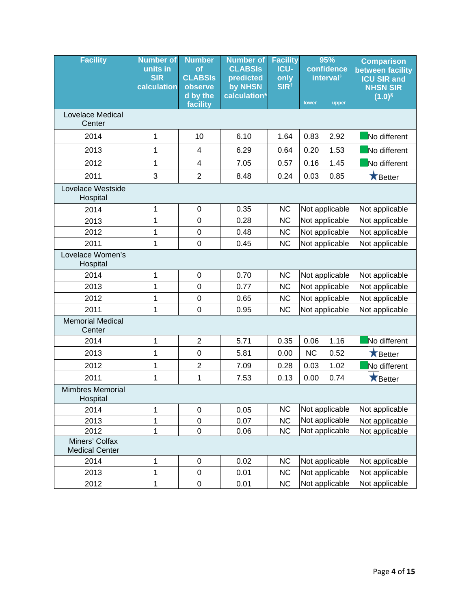| <b>Facility</b>                         | <b>Number of</b><br>units in<br><b>SIR</b><br>calculation | <b>Number</b><br>оf<br><b>CLABSIS</b><br>observe | <b>Number of</b><br><b>CLABSIS</b><br>predicted<br>by NHSN | <b>Facility</b><br><b>ICU-</b><br>only<br>SIR <sup>t</sup> | 95%<br>confidence<br>interval <sup>#</sup> |                | <b>Comparison</b><br>between facility<br><b>ICU SIR and</b><br><b>NHSN SIR</b> |
|-----------------------------------------|-----------------------------------------------------------|--------------------------------------------------|------------------------------------------------------------|------------------------------------------------------------|--------------------------------------------|----------------|--------------------------------------------------------------------------------|
|                                         |                                                           | d by the<br>facility                             | calculation*                                               |                                                            | lower                                      | upper          | $(1.0)^{6}$                                                                    |
| Lovelace Medical<br>Center              |                                                           |                                                  |                                                            |                                                            |                                            |                |                                                                                |
| 2014                                    | 1                                                         | 10                                               | 6.10                                                       | 1.64                                                       | 0.83                                       | 2.92           | No different                                                                   |
| 2013                                    | 1                                                         | 4                                                | 6.29                                                       | 0.64                                                       | 0.20                                       | 1.53           | No different                                                                   |
| 2012                                    | 1                                                         | 4                                                | 7.05                                                       | 0.57                                                       | 0.16                                       | 1.45           | No different                                                                   |
| 2011                                    | 3                                                         | $\overline{2}$                                   | 8.48                                                       | 0.24                                                       | 0.03                                       | 0.85           | $\bigstar$ Better                                                              |
| Lovelace Westside<br>Hospital           |                                                           |                                                  |                                                            |                                                            |                                            |                |                                                                                |
| 2014                                    | 1                                                         | $\boldsymbol{0}$                                 | 0.35                                                       | <b>NC</b>                                                  |                                            | Not applicable | Not applicable                                                                 |
| 2013                                    | 1                                                         | $\boldsymbol{0}$                                 | 0.28                                                       | <b>NC</b>                                                  |                                            | Not applicable | Not applicable                                                                 |
| 2012                                    | $\mathbf 1$                                               | $\boldsymbol{0}$                                 | 0.48                                                       | <b>NC</b>                                                  |                                            | Not applicable | Not applicable                                                                 |
| 2011                                    | 1                                                         | $\boldsymbol{0}$                                 | 0.45                                                       | <b>NC</b>                                                  |                                            | Not applicable | Not applicable                                                                 |
| Lovelace Women's<br>Hospital            |                                                           |                                                  |                                                            |                                                            |                                            |                |                                                                                |
| 2014                                    | 1                                                         | $\boldsymbol{0}$                                 | 0.70                                                       | <b>NC</b>                                                  | Not applicable                             |                | Not applicable                                                                 |
| 2013                                    | 1                                                         | 0                                                | 0.77                                                       | <b>NC</b>                                                  |                                            | Not applicable | Not applicable                                                                 |
| 2012                                    | 1                                                         | 0                                                | 0.65                                                       | <b>NC</b>                                                  |                                            | Not applicable | Not applicable                                                                 |
| 2011                                    | 1                                                         | $\boldsymbol{0}$                                 | 0.95                                                       | <b>NC</b>                                                  |                                            | Not applicable | Not applicable                                                                 |
| <b>Memorial Medical</b><br>Center       |                                                           |                                                  |                                                            |                                                            |                                            |                |                                                                                |
| 2014                                    | 1                                                         | $\overline{2}$                                   | 5.71                                                       | 0.35                                                       | 0.06                                       | 1.16           | No different                                                                   |
| 2013                                    | 1                                                         | $\boldsymbol{0}$                                 | 5.81                                                       | 0.00                                                       | NC                                         | 0.52           | Better                                                                         |
| 2012                                    | 1                                                         | $\overline{c}$                                   | 7.09                                                       | 0.28                                                       | 0.03                                       | 1.02           | No different                                                                   |
| 2011                                    | 1                                                         | $\mathbf 1$                                      | 7.53                                                       | 0.13                                                       | 0.00                                       | 0.74           | Better                                                                         |
| <b>Mimbres Memorial</b><br>Hospital     |                                                           |                                                  |                                                            |                                                            |                                            |                |                                                                                |
| 2014                                    | 1                                                         | 0                                                | 0.05                                                       | <b>NC</b>                                                  |                                            | Not applicable | Not applicable                                                                 |
| 2013                                    | 1                                                         | 0                                                | 0.07                                                       | <b>NC</b>                                                  |                                            | Not applicable | Not applicable                                                                 |
| 2012                                    | $\mathbf 1$                                               | 0                                                | 0.06                                                       | <b>NC</b>                                                  |                                            | Not applicable | Not applicable                                                                 |
| Miners' Colfax<br><b>Medical Center</b> |                                                           |                                                  |                                                            |                                                            |                                            |                |                                                                                |
| 2014                                    | 1                                                         | $\mathsf 0$                                      | 0.02                                                       | <b>NC</b>                                                  |                                            | Not applicable | Not applicable                                                                 |
| 2013                                    | 1                                                         | 0                                                | 0.01                                                       | <b>NC</b>                                                  |                                            | Not applicable | Not applicable                                                                 |
| 2012                                    | 1                                                         | 0                                                | 0.01                                                       | <b>NC</b>                                                  |                                            | Not applicable | Not applicable                                                                 |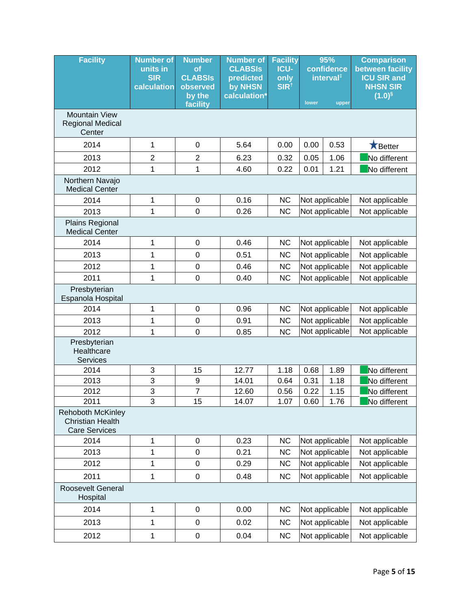| <b>Facility</b>                                                                     | <b>Number of</b><br>units in<br><b>SIR</b><br>calculation | <b>Number</b><br>of<br><b>CLABSIS</b><br>observed<br>by the<br>facility | <b>Number of</b><br><b>CLABSIS</b><br>predicted<br>by NHSN<br>calculation* | <b>Facility</b><br><b>ICU-</b><br>only<br>SIR <sup>t</sup> | 95%<br>confidence<br>interval <sup>#</sup><br>lower<br>upper |                | <b>Comparison</b><br>between facility<br><b>ICU SIR and</b><br><b>NHSN SIR</b><br>$(1.0)$ <sup>§</sup> |
|-------------------------------------------------------------------------------------|-----------------------------------------------------------|-------------------------------------------------------------------------|----------------------------------------------------------------------------|------------------------------------------------------------|--------------------------------------------------------------|----------------|--------------------------------------------------------------------------------------------------------|
| <b>Mountain View</b><br><b>Regional Medical</b><br>Center                           |                                                           |                                                                         |                                                                            |                                                            |                                                              |                |                                                                                                        |
| 2014                                                                                | 1                                                         | $\boldsymbol{0}$                                                        | 5.64                                                                       | 0.00                                                       | 0.00                                                         | 0.53           | <b>X</b> Better                                                                                        |
| 2013                                                                                | $\overline{\mathbf{c}}$                                   | $\overline{2}$                                                          | 6.23                                                                       | 0.32                                                       | 0.05                                                         | 1.06           | No different                                                                                           |
| 2012                                                                                | 1                                                         | 1                                                                       | 4.60                                                                       | 0.22                                                       | 0.01                                                         | 1.21           | No different                                                                                           |
| Northern Navajo<br><b>Medical Center</b>                                            |                                                           |                                                                         |                                                                            |                                                            |                                                              |                |                                                                                                        |
| 2014                                                                                | 1                                                         | $\pmb{0}$                                                               | 0.16                                                                       | <b>NC</b>                                                  |                                                              | Not applicable | Not applicable                                                                                         |
| 2013                                                                                | 1                                                         | $\mathbf 0$                                                             | 0.26                                                                       | <b>NC</b>                                                  |                                                              | Not applicable | Not applicable                                                                                         |
| Plains Regional<br><b>Medical Center</b>                                            |                                                           |                                                                         |                                                                            |                                                            |                                                              |                |                                                                                                        |
| 2014                                                                                | 1                                                         | $\boldsymbol{0}$                                                        | 0.46                                                                       | <b>NC</b>                                                  | Not applicable                                               |                | Not applicable                                                                                         |
| 2013                                                                                | 1                                                         | $\boldsymbol{0}$                                                        | 0.51                                                                       | <b>NC</b>                                                  | Not applicable                                               |                | Not applicable                                                                                         |
| 2012                                                                                | 1                                                         | $\mathbf 0$                                                             | 0.46                                                                       | <b>NC</b>                                                  |                                                              | Not applicable | Not applicable                                                                                         |
| 2011                                                                                | 1                                                         | $\mathbf 0$                                                             | 0.40                                                                       | <b>NC</b>                                                  | Not applicable                                               |                | Not applicable                                                                                         |
| Presbyterian<br>Espanola Hospital                                                   |                                                           |                                                                         |                                                                            |                                                            |                                                              |                |                                                                                                        |
| 2014                                                                                | 1                                                         | $\boldsymbol{0}$                                                        | 0.96                                                                       | <b>NC</b>                                                  |                                                              | Not applicable | Not applicable                                                                                         |
| 2013                                                                                | 1                                                         | $\mathbf 0$                                                             | 0.91                                                                       | <b>NC</b>                                                  |                                                              | Not applicable | Not applicable                                                                                         |
| 2012                                                                                | 1                                                         | $\mathbf 0$                                                             | 0.85                                                                       | <b>NC</b>                                                  |                                                              | Not applicable | Not applicable                                                                                         |
| Presbyterian<br>Healthcare<br><b>Services</b>                                       |                                                           |                                                                         |                                                                            |                                                            |                                                              |                |                                                                                                        |
| 2014                                                                                | 3                                                         | 15                                                                      | 12.77                                                                      | 1.18                                                       | 0.68                                                         | 1.89           | No different                                                                                           |
| 2013                                                                                | 3                                                         | $\boldsymbol{9}$                                                        | 14.01                                                                      | 0.64                                                       | 0.31                                                         | 1.18           | No different                                                                                           |
| 2012                                                                                | 3<br>3                                                    | $\overline{7}$                                                          | 12.60<br>14.07                                                             | 0.56<br>1.07                                               | 0.22<br>0.60                                                 | 1.15<br>1.76   | No different                                                                                           |
| 2011<br><b>Rehoboth McKinley</b><br><b>Christian Health</b><br><b>Care Services</b> |                                                           | 15                                                                      |                                                                            |                                                            |                                                              |                | No different                                                                                           |
| 2014                                                                                | 1                                                         | $\boldsymbol{0}$                                                        | 0.23                                                                       | <b>NC</b>                                                  |                                                              | Not applicable | Not applicable                                                                                         |
| 2013                                                                                | 1                                                         | $\boldsymbol{0}$                                                        | 0.21                                                                       | <b>NC</b>                                                  |                                                              | Not applicable | Not applicable                                                                                         |
| 2012                                                                                | 1                                                         | $\boldsymbol{0}$                                                        | 0.29                                                                       | <b>NC</b>                                                  |                                                              | Not applicable | Not applicable                                                                                         |
| 2011                                                                                | 1                                                         | $\pmb{0}$                                                               | 0.48                                                                       | <b>NC</b>                                                  |                                                              | Not applicable | Not applicable                                                                                         |
| Roosevelt General<br>Hospital                                                       |                                                           |                                                                         |                                                                            |                                                            |                                                              |                |                                                                                                        |
| 2014                                                                                | 1                                                         | $\boldsymbol{0}$                                                        | 0.00                                                                       | NC                                                         |                                                              | Not applicable | Not applicable                                                                                         |
| 2013                                                                                | 1                                                         | $\boldsymbol{0}$                                                        | 0.02                                                                       | <b>NC</b>                                                  |                                                              | Not applicable | Not applicable                                                                                         |
| 2012                                                                                | 1                                                         | $\pmb{0}$                                                               | 0.04                                                                       | <b>NC</b>                                                  |                                                              | Not applicable | Not applicable                                                                                         |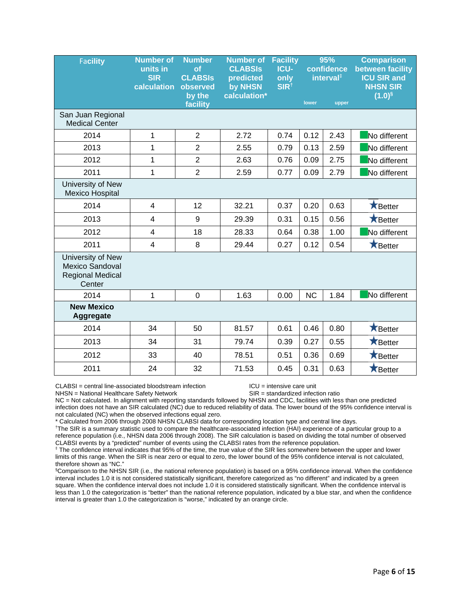| <b>Facility</b>                                                                  | <b>Number of</b><br>units in<br><b>SIR</b><br>calculation | <b>Number</b><br>of<br><b>CLABSIS</b><br>observed<br>by the | <b>Number of</b><br><b>CLABSIS</b><br>predicted<br>by NHSN<br>calculation* | <b>Facility</b><br>ICU-<br>only<br>SIR <sup>t</sup> | 95%<br>confidence<br>interval <sup>#</sup><br>lower |       | <b>Comparison</b><br>between facility<br><b>ICU SIR and</b><br><b>NHSN SIR</b><br>$(1.0)$ <sup>§</sup> |
|----------------------------------------------------------------------------------|-----------------------------------------------------------|-------------------------------------------------------------|----------------------------------------------------------------------------|-----------------------------------------------------|-----------------------------------------------------|-------|--------------------------------------------------------------------------------------------------------|
|                                                                                  |                                                           | facility                                                    |                                                                            |                                                     |                                                     | upper |                                                                                                        |
| San Juan Regional<br><b>Medical Center</b>                                       |                                                           |                                                             |                                                                            |                                                     |                                                     |       |                                                                                                        |
| 2014                                                                             | 1                                                         | $\overline{2}$                                              | 2.72                                                                       | 0.74                                                | 0.12                                                | 2.43  | No different                                                                                           |
| 2013                                                                             | 1                                                         | $\overline{2}$                                              | 2.55                                                                       | 0.79                                                | 0.13                                                | 2.59  | No different                                                                                           |
| 2012                                                                             | 1                                                         | $\overline{2}$                                              | 2.63                                                                       | 0.76                                                | 0.09                                                | 2.75  | No different                                                                                           |
| 2011                                                                             | 1                                                         | $\overline{2}$                                              | 2.59                                                                       | 0.77                                                | 0.09                                                | 2.79  | No different                                                                                           |
| University of New<br><b>Mexico Hospital</b>                                      |                                                           |                                                             |                                                                            |                                                     |                                                     |       |                                                                                                        |
| 2014                                                                             | $\overline{4}$                                            | 12                                                          | 32.21                                                                      | 0.37                                                | 0.20                                                | 0.63  | <b>X</b> Better                                                                                        |
| 2013                                                                             | 4                                                         | 9                                                           | 29.39                                                                      | 0.31                                                | 0.15                                                | 0.56  | <b>X</b> Better                                                                                        |
| 2012                                                                             | $\overline{\mathbf{4}}$                                   | 18                                                          | 28.33                                                                      | 0.64                                                | 0.38                                                | 1.00  | No different                                                                                           |
| 2011                                                                             | 4                                                         | 8                                                           | 29.44                                                                      | 0.27                                                | 0.12                                                | 0.54  | <b>X</b> Better                                                                                        |
| University of New<br><b>Mexico Sandoval</b><br><b>Regional Medical</b><br>Center |                                                           |                                                             |                                                                            |                                                     |                                                     |       |                                                                                                        |
| 2014                                                                             | 1                                                         | $\mathbf 0$                                                 | 1.63                                                                       | 0.00                                                | <b>NC</b>                                           | 1.84  | No different                                                                                           |
| <b>New Mexico</b><br>Aggregate                                                   |                                                           |                                                             |                                                                            |                                                     |                                                     |       |                                                                                                        |
| 2014                                                                             | 34                                                        | 50                                                          | 81.57                                                                      | 0.61                                                | 0.46                                                | 0.80  | <b>X</b> Better                                                                                        |
| 2013                                                                             | 34                                                        | 31                                                          | 79.74                                                                      | 0.39                                                | 0.27                                                | 0.55  | $\bigstar$ Better                                                                                      |
| 2012                                                                             | 33                                                        | 40                                                          | 78.51                                                                      | 0.51                                                | 0.36                                                | 0.69  | <b>X</b> Better                                                                                        |
| 2011                                                                             | 24                                                        | 32                                                          | 71.53                                                                      | 0.45                                                | 0.31                                                | 0.63  | <b>X</b> Better                                                                                        |

CLABSI = central line-associated bloodstream infection ICU = intensive care unit

NHSN = National Healthcare Safety Network SIR = standardized infection ratio

NC = Not calculated. In alignment with reporting standards followed by NHSN and CDC, facilities with less than one predicted infection does not have an SIR calculated (NC) due to reduced reliability of data. The lower bound of the 95% confidence interval is not calculated (NC) when the observed infections equal zero.

\* Calculated from 2006 through 2008 NHSN CLABSI data for corresponding location type and central line days. †

<sup>†</sup>The SIR is a summary statistic used to compare the healthcare-associated infection (HAI) experience of a particular group to a reference population (i.e., NHSN data 2006 through 2008). The SIR calculation is based on dividing the total number of observed CLABSI events by a "predicted" number of events using the CLABSI rates from the reference population.<br><sup>‡</sup> The confidence interval indicates that 95% of the time, the true value of the SIR lies somewhere between the upper a

limits of this range. When the SIR is near zero or equal to zero, the lower bound of the 95% confidence interval is not calculated, therefore shown as "NC."

§ Comparison to the NHSN SIR (i.e., the national reference population) is based on a 95% confidence interval. When the confidence interval includes 1.0 it is not considered statistically significant, therefore categorized as "no different" and indicated by a green square. When the confidence interval does not include 1.0 it is considered statistically significant. When the confidence interval is less than 1.0 the categorization is "better" than the national reference population, indicated by a blue star, and when the confidence interval is greater than 1.0 the categorization is "worse," indicated by an orange circle.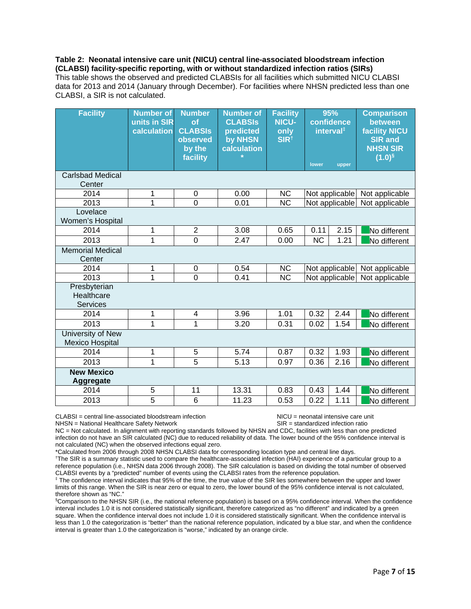**Table 2: Neonatal intensive care unit (NICU) central line-associated bloodstream infection (CLABSI) facility-specific reporting, with or without standardized infection ratios (SIRs)**  This table shows the observed and predicted CLABSIs for all facilities which submitted NICU CLABSI data for 2013 and 2014 (January through December). For facilities where NHSN predicted less than one CLABSI, a SIR is not calculated.

| <b>Facility</b>                                    | <b>Number of</b><br>units in SIR<br>calculation | <b>Number</b><br>of<br><b>CLABSIS</b><br>observed<br>by the<br>facility | <b>Number of</b><br><b>CLABSIS</b><br>predicted<br>by NHSN<br>calculation | <b>Facility</b><br><b>NICU-</b><br>only<br>SIR <sup>t</sup> | lower                  | 95%<br>confidence<br>interval <sup>‡</sup><br>upper | <b>Comparison</b><br>between<br><b>facility NICU</b><br><b>SIR and</b><br><b>NHSN SIR</b><br>$(1.0)$ <sup>§</sup> |
|----------------------------------------------------|-------------------------------------------------|-------------------------------------------------------------------------|---------------------------------------------------------------------------|-------------------------------------------------------------|------------------------|-----------------------------------------------------|-------------------------------------------------------------------------------------------------------------------|
| <b>Carlsbad Medical</b><br>Center                  |                                                 |                                                                         |                                                                           |                                                             |                        |                                                     |                                                                                                                   |
| 2014                                               | 1                                               | 0                                                                       | 0.00                                                                      | <b>NC</b>                                                   |                        | Not applicable                                      | Not applicable                                                                                                    |
| 2013                                               | 1                                               | $\overline{0}$                                                          | 0.01                                                                      | <b>NC</b>                                                   |                        | Not applicable                                      | Not applicable                                                                                                    |
| Lovelace<br>Women's Hospital                       |                                                 |                                                                         |                                                                           |                                                             |                        |                                                     |                                                                                                                   |
| 2014                                               | 1                                               | $\overline{2}$                                                          | 3.08                                                                      | 0.65                                                        | 0.11                   | 2.15                                                | No different                                                                                                      |
| 2013                                               | 1                                               | $\overline{0}$                                                          | 2.47                                                                      | 0.00                                                        | $\overline{\text{NC}}$ | 1.21                                                | No different                                                                                                      |
| <b>Memorial Medical</b><br>Center                  |                                                 |                                                                         |                                                                           |                                                             |                        |                                                     |                                                                                                                   |
| 2014                                               | 1                                               | 0                                                                       | 0.54                                                                      | <b>NC</b>                                                   |                        | Not applicable                                      | Not applicable                                                                                                    |
| 2013                                               | $\overline{1}$                                  | $\overline{0}$                                                          | 0.41                                                                      | $\overline{\text{NC}}$                                      |                        | Not applicable                                      | Not applicable                                                                                                    |
| Presbyterian<br>Healthcare<br><b>Services</b>      |                                                 |                                                                         |                                                                           |                                                             |                        |                                                     |                                                                                                                   |
| 2014                                               | 1                                               | 4                                                                       | 3.96                                                                      | 1.01                                                        | 0.32                   | 2.44                                                | No different                                                                                                      |
| 2013                                               | 1                                               | $\overline{1}$                                                          | 3.20                                                                      | 0.31                                                        | 0.02                   | 1.54                                                | No different                                                                                                      |
| <b>University of New</b><br><b>Mexico Hospital</b> |                                                 |                                                                         |                                                                           |                                                             |                        |                                                     |                                                                                                                   |
| 2014                                               | 1                                               | 5                                                                       | 5.74                                                                      | 0.87                                                        | 0.32                   | 1.93                                                | No different                                                                                                      |
| 2013                                               | 1                                               | 5                                                                       | 5.13                                                                      | 0.97                                                        | 0.36                   | 2.16                                                | No different                                                                                                      |
| <b>New Mexico</b><br>Aggregate                     |                                                 |                                                                         |                                                                           |                                                             |                        |                                                     |                                                                                                                   |
| 2014                                               | 5                                               | $\overline{11}$                                                         | 13.31                                                                     | 0.83                                                        | 0.43                   | 1.44                                                | No different                                                                                                      |
| 2013                                               | $\overline{5}$                                  | 6                                                                       | 11.23                                                                     | 0.53                                                        | 0.22                   | 1.11                                                | No different                                                                                                      |

CLABSI = central line-associated bloodstream infection NICU = neonatal intensive care unit<br>NHSN = National Healthcare Safety Network Network SIR = standardized infection ratio

NHSN = National Healthcare Safety Network

NC = Not calculated. In alignment with reporting standards followed by NHSN and CDC, facilities with less than one predicted infection do not have an SIR calculated (NC) due to reduced reliability of data. The lower bound of the 95% confidence interval is not calculated (NC) when the observed infections equal zero.

\*Calculated from 2006 through 2008 NHSN CLABSI data for corresponding location type and central line days. †

The SIR is a summary statistic used to compare the healthcare-associated infection (HAI) experience of a particular group to a reference population (i.e., NHSN data 2006 through 2008). The SIR calculation is based on dividing the total number of observed CLABSI events by a "predicted" number of events using the CLABSI rates from the reference population. ‡

<sup>‡</sup> The confidence interval indicates that 95% of the time, the true value of the SIR lies somewhere between the upper and lower limits of this range. When the SIR is near zero or equal to zero, the lower bound of the 95% confidence interval is not calculated, therefore shown as "NC."

§ Comparison to the NHSN SIR (i.e., the national reference population) is based on a 95% confidence interval. When the confidence interval includes 1.0 it is not considered statistically significant, therefore categorized as "no different" and indicated by a green square. When the confidence interval does not include 1.0 it is considered statistically significant. When the confidence interval is less than 1.0 the categorization is "better" than the national reference population, indicated by a blue star, and when the confidence interval is greater than 1.0 the categorization is "worse," indicated by an orange circle.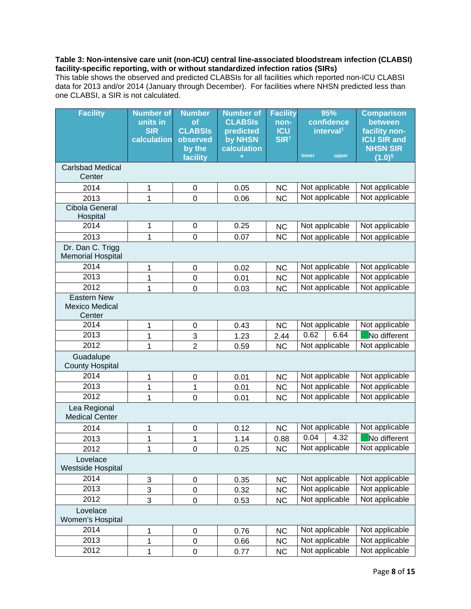#### **Table 3: Non-intensive care unit (non-ICU) central line-associated bloodstream infection (CLABSI) facility-specific reporting, with or without standardized infection ratios (SIRs)**

This table shows the observed and predicted CLABSIs for all facilities which reported non-ICU CLABSI data for 2013 and/or 2014 (January through December). For facilities where NHSN predicted less than one CLABSI, a SIR is not calculated.

| <b>Facility</b>                                       | <b>Number of</b><br>units in<br><b>SIR</b> | <b>Number</b><br>of<br><b>CLABSIS</b> | <b>Number of</b><br><b>CLABSIS</b><br>predicted | <b>Facility</b><br>non-<br><b>ICU</b> | 95%<br>confidence<br>interval <sup>‡</sup> | <b>Comparison</b><br>between<br>facility non- |
|-------------------------------------------------------|--------------------------------------------|---------------------------------------|-------------------------------------------------|---------------------------------------|--------------------------------------------|-----------------------------------------------|
|                                                       | calculation                                | observed<br>by the                    | by NHSN<br>calculation                          | SIR <sup>t</sup>                      |                                            | <b>ICU SIR and</b><br><b>NHSN SIR</b>         |
|                                                       |                                            | facility                              |                                                 |                                       | lower<br>upper                             | $(1.0)$ <sup>§</sup>                          |
| <b>Carlsbad Medical</b><br>Center                     |                                            |                                       |                                                 |                                       |                                            |                                               |
| 2014                                                  | 1                                          | $\boldsymbol{0}$                      | 0.05                                            | <b>NC</b>                             | Not applicable                             | Not applicable                                |
| 2013                                                  | 1                                          | $\mathbf 0$                           | 0.06                                            | <b>NC</b>                             | Not applicable                             | Not applicable                                |
| <b>Cibola General</b><br>Hospital                     |                                            |                                       |                                                 |                                       |                                            |                                               |
| 2014                                                  | 1                                          | $\pmb{0}$                             | 0.25                                            | <b>NC</b>                             | Not applicable                             | Not applicable                                |
| 2013                                                  | 1                                          | $\mathbf 0$                           | 0.07                                            | $\overline{NC}$                       | Not applicable                             | Not applicable                                |
| Dr. Dan C. Trigg<br><b>Memorial Hospital</b>          |                                            |                                       |                                                 |                                       |                                            |                                               |
| 2014                                                  | 1                                          | $\boldsymbol{0}$                      | 0.02                                            | <b>NC</b>                             | Not applicable                             | Not applicable                                |
| 2013                                                  | 1                                          | $\mathbf 0$                           | 0.01                                            | <b>NC</b>                             | Not applicable                             | Not applicable                                |
| 2012                                                  | 1                                          | 0                                     | 0.03                                            | <b>NC</b>                             | Not applicable                             | Not applicable                                |
| <b>Eastern New</b><br><b>Mexico Medical</b><br>Center |                                            |                                       |                                                 |                                       |                                            |                                               |
| 2014                                                  | 1                                          | $\mathbf 0$                           | 0.43                                            | <b>NC</b>                             | Not applicable                             | Not applicable                                |
| 2013                                                  | 1                                          | 3                                     | 1.23                                            | 2.44                                  | 0.62<br>6.64                               | No different                                  |
| 2012                                                  | 1                                          | $\overline{2}$                        | 0.59                                            | <b>NC</b>                             | Not applicable                             | Not applicable                                |
| Guadalupe<br><b>County Hospital</b>                   |                                            |                                       |                                                 |                                       |                                            |                                               |
| 2014                                                  | 1                                          | 0                                     | 0.01                                            | <b>NC</b>                             | Not applicable                             | Not applicable                                |
| 2013                                                  | 1                                          | 1                                     | 0.01                                            | <b>NC</b>                             | Not applicable                             | Not applicable                                |
| 2012                                                  | 1                                          | 0                                     | 0.01                                            | <b>NC</b>                             | Not applicable                             | Not applicable                                |
| Lea Regional<br><b>Medical Center</b>                 |                                            |                                       |                                                 |                                       |                                            |                                               |
| 2014                                                  | 1                                          | 0                                     | 0.12                                            | <b>NC</b>                             | Not applicable                             | Not applicable                                |
| 2013                                                  | 1                                          | 1                                     | 1.14                                            | 0.88                                  | 0.04<br>4.32                               | No different                                  |
| 2012                                                  | 1                                          | $\mathbf 0$                           | 0.25                                            | <b>NC</b>                             | Not applicable                             | Not applicable                                |
| Lovelace<br><b>Westside Hospital</b>                  |                                            |                                       |                                                 |                                       |                                            |                                               |
| 2014                                                  | 3                                          | $\pmb{0}$                             | 0.35                                            | <b>NC</b>                             | Not applicable                             | Not applicable                                |
| 2013                                                  | 3                                          | $\mathbf 0$                           | 0.32                                            | <b>NC</b>                             | Not applicable                             | Not applicable                                |
| 2012                                                  | 3                                          | $\mathsf 0$                           | 0.53                                            | <b>NC</b>                             | Not applicable                             | Not applicable                                |
| Lovelace<br>Women's Hospital                          |                                            |                                       |                                                 |                                       |                                            |                                               |
| 2014                                                  | 1                                          | $\pmb{0}$                             | 0.76                                            | <b>NC</b>                             | Not applicable                             | Not applicable                                |
| 2013                                                  | 1                                          | $\pmb{0}$                             | 0.66                                            | <b>NC</b>                             | Not applicable                             | Not applicable                                |
| 2012                                                  | $\mathbf 1$                                | $\mathsf 0$                           | 0.77                                            | <b>NC</b>                             | Not applicable                             | Not applicable                                |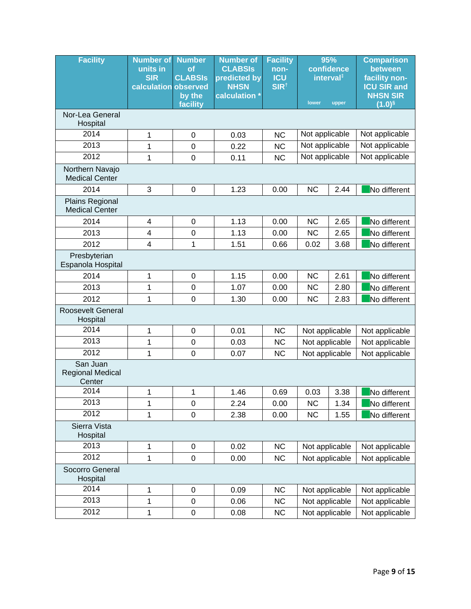| <b>Facility</b>                               | <b>Number of</b><br>units in<br><b>SIR</b><br>calculation observed | <b>Number</b><br><b>of</b><br><b>CLABSIS</b><br>by the<br>facility | <b>Number of</b><br><b>CLABSIS</b><br>predicted by<br><b>NHSN</b><br>calculation * | <b>Facility</b><br>non-<br><b>ICU</b><br>SIR <sup>t</sup> | 95%<br>confidence<br>interval <sup>#</sup><br>lower<br>upper |      | <b>Comparison</b><br>between<br>facility non-<br><b>ICU SIR and</b><br><b>NHSN SIR</b><br>$(1.0)$ <sup>§</sup> |
|-----------------------------------------------|--------------------------------------------------------------------|--------------------------------------------------------------------|------------------------------------------------------------------------------------|-----------------------------------------------------------|--------------------------------------------------------------|------|----------------------------------------------------------------------------------------------------------------|
| Nor-Lea General<br>Hospital                   |                                                                    |                                                                    |                                                                                    |                                                           |                                                              |      |                                                                                                                |
| 2014                                          | 1                                                                  | $\boldsymbol{0}$                                                   | 0.03                                                                               | <b>NC</b>                                                 | Not applicable                                               |      | Not applicable                                                                                                 |
| 2013                                          | 1                                                                  | $\mathbf 0$                                                        | 0.22                                                                               | <b>NC</b>                                                 | Not applicable                                               |      | Not applicable                                                                                                 |
| 2012                                          | 1                                                                  | $\mathbf 0$                                                        | 0.11                                                                               | <b>NC</b>                                                 | Not applicable                                               |      | Not applicable                                                                                                 |
| Northern Navajo<br><b>Medical Center</b>      |                                                                    |                                                                    |                                                                                    |                                                           |                                                              |      |                                                                                                                |
| 2014                                          | 3                                                                  | $\boldsymbol{0}$                                                   | 1.23                                                                               | 0.00                                                      | <b>NC</b>                                                    | 2.44 | No different                                                                                                   |
| Plains Regional<br><b>Medical Center</b>      |                                                                    |                                                                    |                                                                                    |                                                           |                                                              |      |                                                                                                                |
| 2014                                          | 4                                                                  | $\mathbf 0$                                                        | 1.13                                                                               | 0.00                                                      | <b>NC</b>                                                    | 2.65 | No different                                                                                                   |
| 2013                                          | $\overline{\mathbf{4}}$                                            | $\mathbf 0$                                                        | 1.13                                                                               | 0.00                                                      | <b>NC</b>                                                    | 2.65 | No different                                                                                                   |
| 2012                                          | $\overline{\mathbf{4}}$                                            | 1                                                                  | 1.51                                                                               | 0.66                                                      | 0.02                                                         | 3.68 | No different                                                                                                   |
| Presbyterian<br>Espanola Hospital             |                                                                    |                                                                    |                                                                                    |                                                           |                                                              |      |                                                                                                                |
| 2014                                          | 1                                                                  | $\mathbf 0$                                                        | 1.15                                                                               | 0.00                                                      | <b>NC</b>                                                    | 2.61 | No different                                                                                                   |
| 2013                                          | 1                                                                  | $\mathbf 0$                                                        | 1.07                                                                               | 0.00                                                      | <b>NC</b>                                                    | 2.80 | No different                                                                                                   |
| 2012                                          | 1                                                                  | $\overline{0}$                                                     | 1.30                                                                               | 0.00                                                      | <b>NC</b>                                                    | 2.83 | No different                                                                                                   |
| <b>Roosevelt General</b><br>Hospital          |                                                                    |                                                                    |                                                                                    |                                                           |                                                              |      |                                                                                                                |
| 2014                                          | 1                                                                  | $\mathbf 0$                                                        | 0.01                                                                               | <b>NC</b>                                                 | Not applicable                                               |      | Not applicable                                                                                                 |
| 2013                                          | 1                                                                  | $\mathbf 0$                                                        | 0.03                                                                               | <b>NC</b>                                                 | Not applicable                                               |      | Not applicable                                                                                                 |
| 2012                                          | 1                                                                  | $\mathbf 0$                                                        | 0.07                                                                               | <b>NC</b>                                                 | Not applicable                                               |      | Not applicable                                                                                                 |
| San Juan<br><b>Regional Medical</b><br>Center |                                                                    |                                                                    |                                                                                    |                                                           |                                                              |      |                                                                                                                |
| 2014                                          | 1                                                                  | $\mathbf 1$                                                        | 1.46                                                                               | 0.69                                                      | 0.03                                                         | 3.38 | No different                                                                                                   |
| 2013                                          | 1                                                                  | $\mathbf 0$                                                        | 2.24                                                                               | 0.00                                                      | <b>NC</b>                                                    | 1.34 | No different                                                                                                   |
| 2012                                          | 1                                                                  | $\overline{0}$                                                     | 2.38                                                                               | 0.00                                                      | <b>NC</b>                                                    | 1.55 | No different                                                                                                   |
| Sierra Vista<br>Hospital                      |                                                                    |                                                                    |                                                                                    |                                                           |                                                              |      |                                                                                                                |
| 2013                                          | 1                                                                  | $\boldsymbol{0}$                                                   | 0.02                                                                               | <b>NC</b>                                                 | Not applicable                                               |      | Not applicable                                                                                                 |
| 2012                                          | 1                                                                  | $\boldsymbol{0}$                                                   | 0.00                                                                               | <b>NC</b>                                                 | Not applicable                                               |      | Not applicable                                                                                                 |
| Socorro General<br>Hospital                   |                                                                    |                                                                    |                                                                                    |                                                           |                                                              |      |                                                                                                                |
| 2014                                          | 1                                                                  | $\mathbf 0$                                                        | 0.09                                                                               | <b>NC</b>                                                 | Not applicable                                               |      | Not applicable                                                                                                 |
| 2013                                          | 1                                                                  | $\mathbf 0$                                                        | 0.06                                                                               | <b>NC</b>                                                 | Not applicable                                               |      | Not applicable                                                                                                 |
| 2012                                          | 1                                                                  | 0                                                                  | 0.08                                                                               | <b>NC</b>                                                 | Not applicable                                               |      | Not applicable                                                                                                 |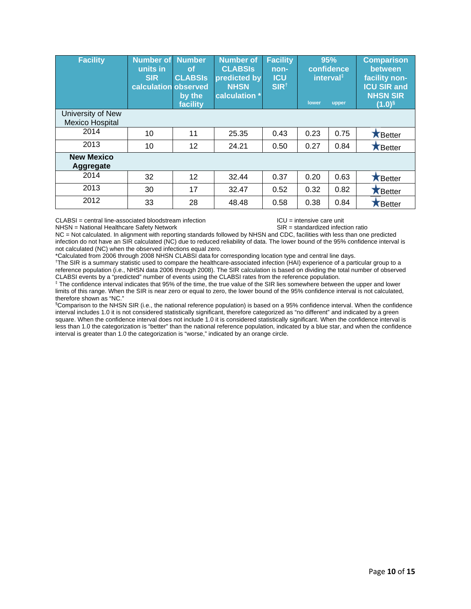| <b>Facility</b>                             | <b>Number of</b><br>units in<br><b>SIR</b><br>calculation observed | <b>Number</b><br><b>of</b><br><b>CLABSIS</b><br>by the<br>facility | <b>Number of</b><br><b>CLABSIS</b><br>predicted by<br><b>NHSN</b><br>calculation * | <b>Facility</b><br>non-<br><b>ICU</b><br>SIR <sup>t</sup> | 95%<br>confidence<br>interval <sup>#</sup><br>lower<br>upper |      | <b>Comparison</b><br>between<br>facility non-<br><b>ICU SIR and</b><br><b>NHSN SIR</b><br>$(1.0)^5$ |
|---------------------------------------------|--------------------------------------------------------------------|--------------------------------------------------------------------|------------------------------------------------------------------------------------|-----------------------------------------------------------|--------------------------------------------------------------|------|-----------------------------------------------------------------------------------------------------|
| University of New<br><b>Mexico Hospital</b> |                                                                    |                                                                    |                                                                                    |                                                           |                                                              |      |                                                                                                     |
| 2014                                        | 10                                                                 | 11                                                                 | 25.35                                                                              | 0.43                                                      | 0.23                                                         | 0.75 | <b>K</b> Better                                                                                     |
| 2013                                        | 10                                                                 | 12                                                                 | 24.21                                                                              | 0.50                                                      | 0.27                                                         | 0.84 | Better                                                                                              |
| <b>New Mexico</b><br><b>Aggregate</b>       |                                                                    |                                                                    |                                                                                    |                                                           |                                                              |      |                                                                                                     |
| 2014                                        | 32                                                                 | 12                                                                 | 32.44                                                                              | 0.37                                                      | 0.20                                                         | 0.63 | <b>X</b> Better                                                                                     |
| 2013                                        | 30                                                                 | 17                                                                 | 32.47                                                                              | 0.52                                                      | 0.32                                                         | 0.82 | <b>X</b> Better                                                                                     |
| 2012                                        | 33                                                                 | 28                                                                 | 48.48                                                                              | 0.58                                                      | 0.38                                                         | 0.84 | <b>X</b> Better                                                                                     |

CLABSI = central line-associated bloodstream infection <br>
NHSN = National Healthcare Safety Network <br>
SIR = standardized infection ratio NHSN = National Healthcare Safety Network

NC = Not calculated. In alignment with reporting standards followed by NHSN and CDC, facilities with less than one predicted infection do not have an SIR calculated (NC) due to reduced reliability of data. The lower bound of the 95% confidence interval is not calculated (NC) when the observed infections equal zero.

\*Calculated from 2006 through 2008 NHSN CLABSI data for corresponding location type and central line days. †

The SIR is a summary statistic used to compare the healthcare-associated infection (HAI) experience of a particular group to a reference population (i.e., NHSN data 2006 through 2008). The SIR calculation is based on dividing the total number of observed CLABSI events by a "predicted" number of events using the CLABSI rates from the reference population.<br><sup>‡</sup> The confidence interval indicates that 95% of the time, the true value of the SIR lies somewhere between the upper a

limits of this range. When the SIR is near zero or equal to zero, the lower bound of the 95% confidence interval is not calculated, therefore shown as "NC."

§ Comparison to the NHSN SIR (i.e., the national reference population) is based on a 95% confidence interval. When the confidence interval includes 1.0 it is not considered statistically significant, therefore categorized as "no different" and indicated by a green square. When the confidence interval does not include 1.0 it is considered statistically significant. When the confidence interval is less than 1.0 the categorization is "better" than the national reference population, indicated by a blue star, and when the confidence interval is greater than 1.0 the categorization is "worse," indicated by an orange circle.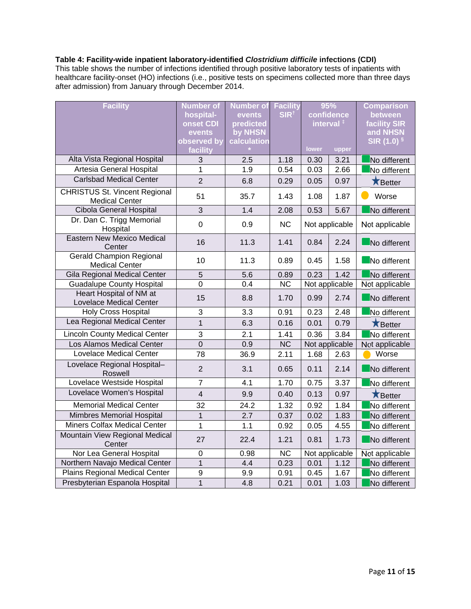### **Table 4: Facility-wide inpatient laboratory-identified** *Clostridium difficile* **infections (CDI)**

This table shows the number of infections identified through positive laboratory tests of inpatients with healthcare facility-onset (HO) infections (i.e., positive tests on specimens collected more than three days after admission) from January through December 2014.

| <b>Facility</b>                                               | <b>Number of</b><br>hospital- | <b>Number of</b><br>events | <b>Facility</b><br>SIR <sup>t</sup> |       | 95%<br>confidence     | <b>Comparison</b><br>between    |
|---------------------------------------------------------------|-------------------------------|----------------------------|-------------------------------------|-------|-----------------------|---------------------------------|
|                                                               | onset CDI<br>events           | predicted<br>by NHSN       |                                     |       | interval <sup>#</sup> | <b>facility SIR</b><br>and NHSN |
|                                                               | observed by                   | calculation                |                                     |       |                       | $SIR(1.0)$ <sup>§</sup>         |
|                                                               | facility                      |                            |                                     | lower | upper                 |                                 |
| Alta Vista Regional Hospital                                  | 3                             | 2.5                        | 1.18                                | 0.30  | 3.21                  | No different                    |
| Artesia General Hospital                                      | 1                             | 1.9                        | 0.54                                | 0.03  | 2.66                  | No different                    |
| <b>Carlsbad Medical Center</b>                                | $\overline{2}$                | 6.8                        | 0.29                                | 0.05  | 0.97                  | Better                          |
| <b>CHRISTUS St. Vincent Regional</b><br><b>Medical Center</b> | 51                            | 35.7                       | 1.43                                | 1.08  | 1.87                  | Worse                           |
| Cibola General Hospital                                       | $\overline{3}$                | 1.4                        | 2.08                                | 0.53  | 5.67                  | No different                    |
| Dr. Dan C. Trigg Memorial<br>Hospital                         | $\mathbf 0$                   | 0.9                        | <b>NC</b>                           |       | Not applicable        | Not applicable                  |
| <b>Eastern New Mexico Medical</b><br>Center                   | 16                            | 11.3                       | 1.41                                | 0.84  | 2.24                  | No different                    |
| <b>Gerald Champion Regional</b><br><b>Medical Center</b>      | 10                            | 11.3                       | 0.89                                | 0.45  | 1.58                  | No different                    |
| Gila Regional Medical Center                                  | 5                             | 5.6                        | 0.89                                | 0.23  | 1.42                  | No different                    |
| <b>Guadalupe County Hospital</b>                              | 0                             | 0.4                        | $\overline{NC}$                     |       | Not applicable        | Not applicable                  |
| Heart Hospital of NM at<br>Lovelace Medical Center            | 15                            | 8.8                        | 1.70                                | 0.99  | 2.74                  | No different                    |
| <b>Holy Cross Hospital</b>                                    | 3                             | 3.3                        | 0.91                                | 0.23  | 2.48                  | No different                    |
| Lea Regional Medical Center                                   | $\overline{1}$                | 6.3                        | 0.16                                | 0.01  | 0.79                  | <b>X</b> Better                 |
| <b>Lincoln County Medical Center</b>                          | $\overline{3}$                | 2.1                        | 1.41                                | 0.36  | 3.84                  | No different                    |
| Los Alamos Medical Center                                     | $\overline{0}$                | 0.9                        | $\overline{\text{NC}}$              |       | Not applicable        | Not applicable                  |
| <b>Lovelace Medical Center</b>                                | 78                            | 36.9                       | 2.11                                | 1.68  | 2.63                  | Worse                           |
| Lovelace Regional Hospital-<br>Roswell                        | $\overline{2}$                | 3.1                        | 0.65                                | 0.11  | 2.14                  | No different                    |
| Lovelace Westside Hospital                                    | $\overline{7}$                | 4.1                        | 1.70                                | 0.75  | 3.37                  | No different                    |
| Lovelace Women's Hospital                                     | $\overline{4}$                | 9.9                        | 0.40                                | 0.13  | 0.97                  | <b>X</b> Better                 |
| <b>Memorial Medical Center</b>                                | 32                            | 24.2                       | 1.32                                | 0.92  | 1.84                  | No different                    |
| <b>Mimbres Memorial Hospital</b>                              | $\mathbf{1}$                  | 2.7                        | 0.37                                | 0.02  | 1.83                  | No different                    |
| <b>Miners Colfax Medical Center</b>                           | $\mathbf 1$                   | 1.1                        | 0.92                                | 0.05  | 4.55                  | No different                    |
| Mountain View Regional Medical<br>Center                      | 27                            | 22.4                       | 1.21                                | 0.81  | 1.73                  | No different                    |
| Nor Lea General Hospital                                      | 0                             | 0.98                       | <b>NC</b>                           |       | Not applicable        | Not applicable                  |
| Northern Navajo Medical Center                                | $\overline{1}$                | 4.4                        | 0.23                                | 0.01  | 1.12                  | No different                    |
| <b>Plains Regional Medical Center</b>                         | 9                             | 9.9                        | 0.91                                | 0.45  | 1.67                  | No different                    |
| Presbyterian Espanola Hospital                                | $\overline{1}$                | 4.8                        | 0.21                                | 0.01  | 1.03                  | No different                    |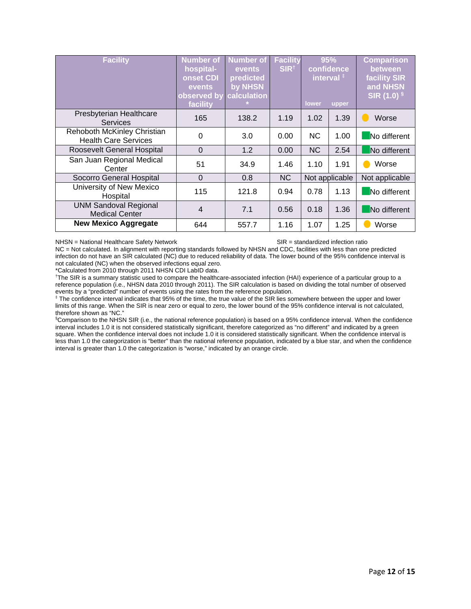| <b>Facility</b>                                            | <b>Number of</b><br>hospital-<br>onset CDI<br>events<br>observed by<br>facility | <b>Number of</b><br><b>events</b><br>predicted<br>by NHSN<br>calculation | <b>Facility</b><br>SIR <sup>t</sup> | 95%<br>confidence<br>interval <sup>#</sup><br>lower<br>upper |                | <b>Comparison</b><br>between<br><b>facility SIR</b><br>and NHSN<br>SIR (1.0) § |
|------------------------------------------------------------|---------------------------------------------------------------------------------|--------------------------------------------------------------------------|-------------------------------------|--------------------------------------------------------------|----------------|--------------------------------------------------------------------------------|
| Presbyterian Healthcare<br>Services                        | 165                                                                             | 138.2                                                                    | 1.19                                | 1.02                                                         | 1.39           | Worse                                                                          |
| Rehoboth McKinley Christian<br><b>Health Care Services</b> | 0                                                                               | 3.0                                                                      | 0.00                                | <b>NC</b>                                                    | 1.00           | No different                                                                   |
| Roosevelt General Hospital                                 | $\mathbf 0$                                                                     | 1.2                                                                      | 0.00                                | <b>NC</b>                                                    | 2.54           | No different                                                                   |
| San Juan Regional Medical<br>Center                        | 51                                                                              | 34.9                                                                     | 1.46                                | 1.10                                                         | 1.91           | Worse                                                                          |
| Socorro General Hospital                                   | $\Omega$                                                                        | 0.8                                                                      | <b>NC</b>                           |                                                              | Not applicable | Not applicable                                                                 |
| University of New Mexico<br>Hospital                       | 115                                                                             | 121.8                                                                    | 0.94                                | 0.78                                                         | 1.13           | No different                                                                   |
| <b>UNM Sandoval Regional</b><br><b>Medical Center</b>      | 4                                                                               | 7.1                                                                      | 0.56                                | 0.18                                                         | 1.36           | No different                                                                   |
| <b>New Mexico Aggregate</b>                                | 644                                                                             | 557.7                                                                    | 1.16                                | 1.07                                                         | 1.25           | Worse                                                                          |

NHSN = National Healthcare Safety Network SIR = standardized infection ratio

NC = Not calculated. In alignment with reporting standards followed by NHSN and CDC, facilities with less than one predicted infection do not have an SIR calculated (NC) due to reduced reliability of data. The lower bound of the 95% confidence interval is not calculated (NC) when the observed infections equal zero.

\*Calculated from 2010 through 2011 NHSN CDI LabID data.

† The SIR is a summary statistic used to compare the healthcare-associated infection (HAI) experience of a particular group to a reference population (i.e., NHSN data 2010 through 2011). The SIR calculation is based on dividing the total number of observed events by a "predicted" number of events using the rates from the reference population.

<sup>‡</sup> The confidence interval indicates that 95% of the time, the true value of the SIR lies somewhere between the upper and lower limits of this range. When the SIR is near zero or equal to zero, the lower bound of the 95% confidence interval is not calculated, therefore shown as "NC."

§ Comparison to the NHSN SIR (i.e., the national reference population) is based on a 95% confidence interval. When the confidence interval includes 1.0 it is not considered statistically significant, therefore categorized as "no different" and indicated by a green square. When the confidence interval does not include 1.0 it is considered statistically significant. When the confidence interval is less than 1.0 the categorization is "better" than the national reference population, indicated by a blue star, and when the confidence interval is greater than 1.0 the categorization is "worse," indicated by an orange circle.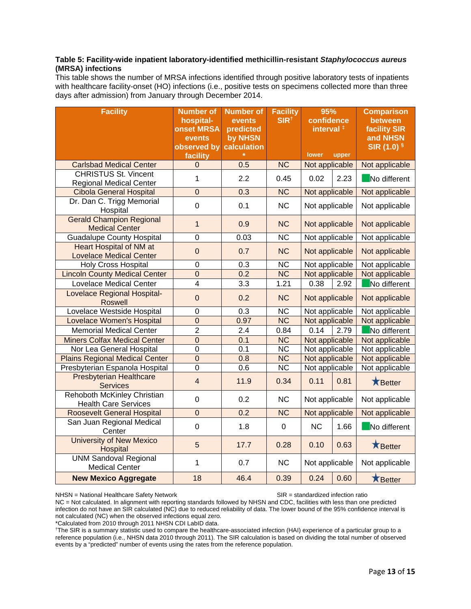### **Table 5: Facility-wide inpatient laboratory-identified methicillin-resistant** *Staphylococcus aureus*  **(MRSA) infections**

This table shows the number of MRSA infections identified through positive laboratory tests of inpatients with healthcare facility-onset (HO) infections (i.e., positive tests on specimens collected more than three days after admission) from January through December 2014.

| <b>Facility</b>                                                  | <b>Number of</b><br>hospital-<br><b>onset MRSA</b><br>events<br>observed by<br>facility | <b>Number of</b><br>events<br>predicted<br>by NHSN<br>calculation | <b>Facility</b><br>SIR <sup>†</sup> | 95%<br>confidence<br>interval <sup>#</sup><br>lower<br>upper<br>Not applicable |      | <b>Comparison</b><br>between<br><b>facility SIR</b><br>and NHSN<br>SIR (1.0) § |
|------------------------------------------------------------------|-----------------------------------------------------------------------------------------|-------------------------------------------------------------------|-------------------------------------|--------------------------------------------------------------------------------|------|--------------------------------------------------------------------------------|
| <b>Carlsbad Medical Center</b>                                   | $\overline{0}$                                                                          | 0.5                                                               | $\overline{\text{NC}}$              |                                                                                |      | Not applicable                                                                 |
| <b>CHRISTUS St. Vincent</b><br><b>Regional Medical Center</b>    | 1                                                                                       | 2.2                                                               | 0.45                                | 0.02                                                                           | 2.23 | No different                                                                   |
| <b>Cibola General Hospital</b>                                   | $\overline{0}$                                                                          | 0.3                                                               | $\overline{\text{NC}}$              | Not applicable                                                                 |      | Not applicable                                                                 |
| Dr. Dan C. Trigg Memorial<br>Hospital                            | $\mathbf 0$                                                                             | 0.1                                                               | <b>NC</b>                           | Not applicable                                                                 |      | Not applicable                                                                 |
| <b>Gerald Champion Regional</b><br><b>Medical Center</b>         | $\overline{1}$                                                                          | 0.9                                                               | <b>NC</b>                           | Not applicable                                                                 |      | Not applicable                                                                 |
| <b>Guadalupe County Hospital</b>                                 | $\overline{0}$                                                                          | 0.03                                                              | $\overline{\text{NC}}$              | Not applicable                                                                 |      | Not applicable                                                                 |
| <b>Heart Hospital of NM at</b><br><b>Lovelace Medical Center</b> | $\overline{0}$                                                                          | 0.7                                                               | <b>NC</b>                           | Not applicable                                                                 |      | Not applicable                                                                 |
| <b>Holy Cross Hospital</b>                                       | 0                                                                                       | 0.3                                                               | <b>NC</b>                           | Not applicable                                                                 |      | Not applicable                                                                 |
| <b>Lincoln County Medical Center</b>                             | $\mathbf 0$                                                                             | 0.2                                                               | <b>NC</b>                           | Not applicable                                                                 |      | Not applicable                                                                 |
| <b>Lovelace Medical Center</b>                                   | $\overline{4}$                                                                          | 3.3                                                               | 1.21                                | 0.38                                                                           | 2.92 | No different                                                                   |
| <b>Lovelace Regional Hospital-</b><br><b>Roswell</b>             | $\mathbf 0$                                                                             | 0.2                                                               | <b>NC</b>                           | Not applicable                                                                 |      | Not applicable                                                                 |
| Lovelace Westside Hospital                                       | $\pmb{0}$                                                                               | 0.3                                                               | <b>NC</b>                           | Not applicable                                                                 |      | Not applicable                                                                 |
| <b>Lovelace Women's Hospital</b>                                 | $\overline{0}$                                                                          | 0.97                                                              | <b>NC</b>                           | Not applicable                                                                 |      | Not applicable                                                                 |
| <b>Memorial Medical Center</b>                                   | $\overline{2}$                                                                          | 2.4                                                               | 0.84                                | 0.14                                                                           | 2.79 | No different                                                                   |
| <b>Miners Colfax Medical Center</b>                              | $\mathbf 0$                                                                             | 0.1                                                               | $\overline{\text{NC}}$              | Not applicable                                                                 |      | Not applicable                                                                 |
| Nor Lea General Hospital                                         | $\overline{0}$                                                                          | 0.1                                                               | $\overline{\text{NC}}$              | Not applicable                                                                 |      | Not applicable                                                                 |
| <b>Plains Regional Medical Center</b>                            | $\overline{0}$                                                                          | 0.8                                                               | $\overline{\text{NC}}$              | Not applicable                                                                 |      | Not applicable                                                                 |
| Presbyterian Espanola Hospital                                   | $\overline{0}$                                                                          | 0.6                                                               | $\overline{\text{NC}}$              | Not applicable                                                                 |      | Not applicable                                                                 |
| <b>Presbyterian Healthcare</b><br><b>Services</b>                | $\overline{\mathbf{4}}$                                                                 | 11.9                                                              | 0.34                                | 0.11                                                                           | 0.81 | <b>X</b> Better                                                                |
| Rehoboth McKinley Christian<br><b>Health Care Services</b>       | $\mathbf 0$                                                                             | 0.2                                                               | <b>NC</b>                           | Not applicable                                                                 |      | Not applicable                                                                 |
| <b>Roosevelt General Hospital</b>                                | $\overline{0}$                                                                          | 0.2                                                               | <b>NC</b>                           | Not applicable                                                                 |      | Not applicable                                                                 |
| San Juan Regional Medical<br>Center                              | $\mathsf 0$                                                                             | 1.8                                                               | $\pmb{0}$                           | <b>NC</b>                                                                      | 1.66 | No different                                                                   |
| <b>University of New Mexico</b><br>Hospital                      | 5                                                                                       | 17.7                                                              | 0.28                                | 0.10                                                                           | 0.63 | <b>K</b> Better                                                                |
| <b>UNM Sandoval Regional</b><br><b>Medical Center</b>            | 1                                                                                       | 0.7                                                               | <b>NC</b>                           | Not applicable                                                                 |      | Not applicable                                                                 |
| <b>New Mexico Aggregate</b>                                      | 18                                                                                      | 46.4                                                              | 0.39                                | 0.24                                                                           | 0.60 | Better                                                                         |

#### NHSN = National Healthcare Safety Network SIR = standardized infection ratio

NC = Not calculated. In alignment with reporting standards followed by NHSN and CDC, facilities with less than one predicted infection do not have an SIR calculated (NC) due to reduced reliability of data. The lower bound of the 95% confidence interval is not calculated (NC) when the observed infections equal zero.

\*Calculated from 2010 through 2011 NHSN CDI LabID data.

† The SIR is a summary statistic used to compare the healthcare-associated infection (HAI) experience of a particular group to a reference population (i.e., NHSN data 2010 through 2011). The SIR calculation is based on dividing the total number of observed events by a "predicted" number of events using the rates from the reference population.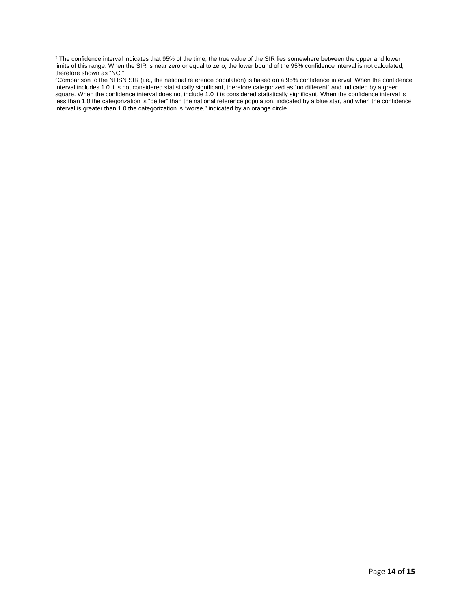‡ The confidence interval indicates that 95% of the time, the true value of the SIR lies somewhere between the upper and lower limits of this range. When the SIR is near zero or equal to zero, the lower bound of the 95% confidence interval is not calculated, therefore shown as "NC."

§ Comparison to the NHSN SIR (i.e., the national reference population) is based on a 95% confidence interval. When the confidence interval includes 1.0 it is not considered statistically significant, therefore categorized as "no different" and indicated by a green square. When the confidence interval does not include 1.0 it is considered statistically significant. When the confidence interval is less than 1.0 the categorization is "better" than the national reference population, indicated by a blue star, and when the confidence interval is greater than 1.0 the categorization is "worse," indicated by an orange circle